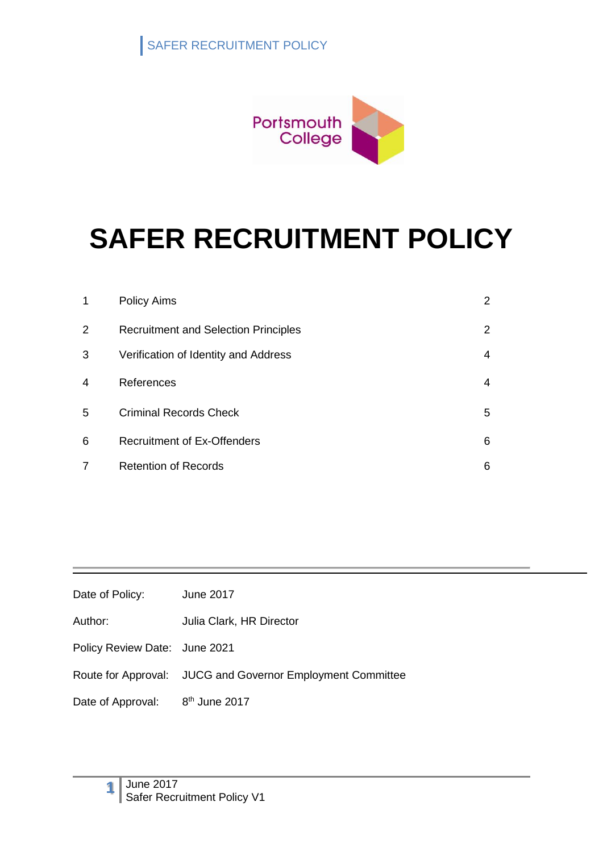

| 1              | <b>Policy Aims</b>                          | 2 |
|----------------|---------------------------------------------|---|
| $\overline{2}$ | <b>Recruitment and Selection Principles</b> | 2 |
| 3              | Verification of Identity and Address        | 4 |
| 4              | References                                  | 4 |
| 5              | <b>Criminal Records Check</b>               | 5 |
| 6              | <b>Recruitment of Ex-Offenders</b>          | 6 |
| 7              | <b>Retention of Records</b>                 | 6 |

| Date of Policy: | June 2017 |
|-----------------|-----------|
|-----------------|-----------|

Author: Julia Clark, HR Director

Policy Review Date: June 2021

Route for Approval: JUCG and Governor Employment Committee

Date of Approval:  $8<sup>th</sup>$  June 2017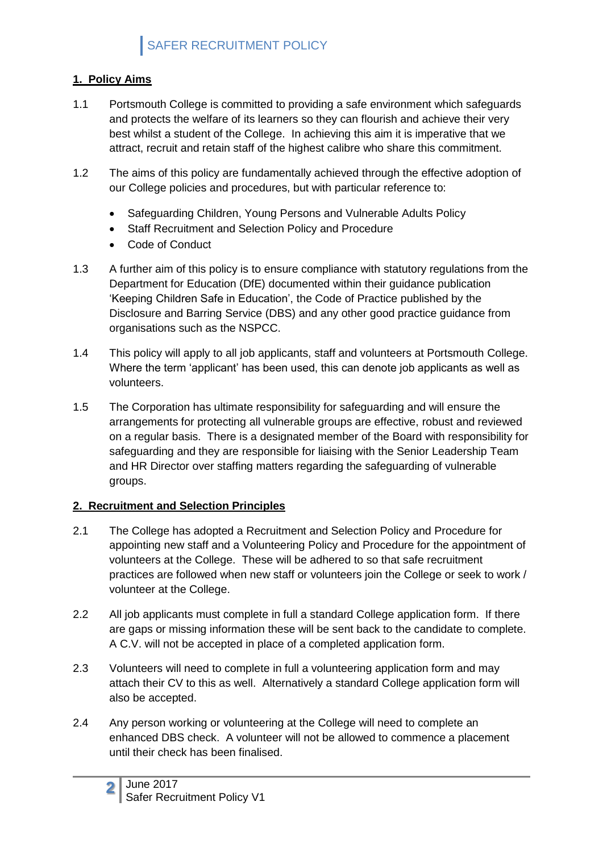#### **1. Policy Aims**

- 1.1 Portsmouth College is committed to providing a safe environment which safeguards and protects the welfare of its learners so they can flourish and achieve their very best whilst a student of the College. In achieving this aim it is imperative that we attract, recruit and retain staff of the highest calibre who share this commitment.
- 1.2 The aims of this policy are fundamentally achieved through the effective adoption of our College policies and procedures, but with particular reference to:
	- Safeguarding Children, Young Persons and Vulnerable Adults Policy
	- Staff Recruitment and Selection Policy and Procedure
	- Code of Conduct
- 1.3 A further aim of this policy is to ensure compliance with statutory regulations from the Department for Education (DfE) documented within their guidance publication 'Keeping Children Safe in Education', the Code of Practice published by the Disclosure and Barring Service (DBS) and any other good practice guidance from organisations such as the NSPCC.
- 1.4 This policy will apply to all job applicants, staff and volunteers at Portsmouth College. Where the term 'applicant' has been used, this can denote job applicants as well as volunteers.
- 1.5 The Corporation has ultimate responsibility for safeguarding and will ensure the arrangements for protecting all vulnerable groups are effective, robust and reviewed on a regular basis. There is a designated member of the Board with responsibility for safeguarding and they are responsible for liaising with the Senior Leadership Team and HR Director over staffing matters regarding the safeguarding of vulnerable groups.

#### **2. Recruitment and Selection Principles**

- 2.1 The College has adopted a Recruitment and Selection Policy and Procedure for appointing new staff and a Volunteering Policy and Procedure for the appointment of volunteers at the College. These will be adhered to so that safe recruitment practices are followed when new staff or volunteers join the College or seek to work / volunteer at the College.
- 2.2 All job applicants must complete in full a standard College application form. If there are gaps or missing information these will be sent back to the candidate to complete. A C.V. will not be accepted in place of a completed application form.
- 2.3 Volunteers will need to complete in full a volunteering application form and may attach their CV to this as well. Alternatively a standard College application form will also be accepted.
- 2.4 Any person working or volunteering at the College will need to complete an enhanced DBS check. A volunteer will not be allowed to commence a placement until their check has been finalised.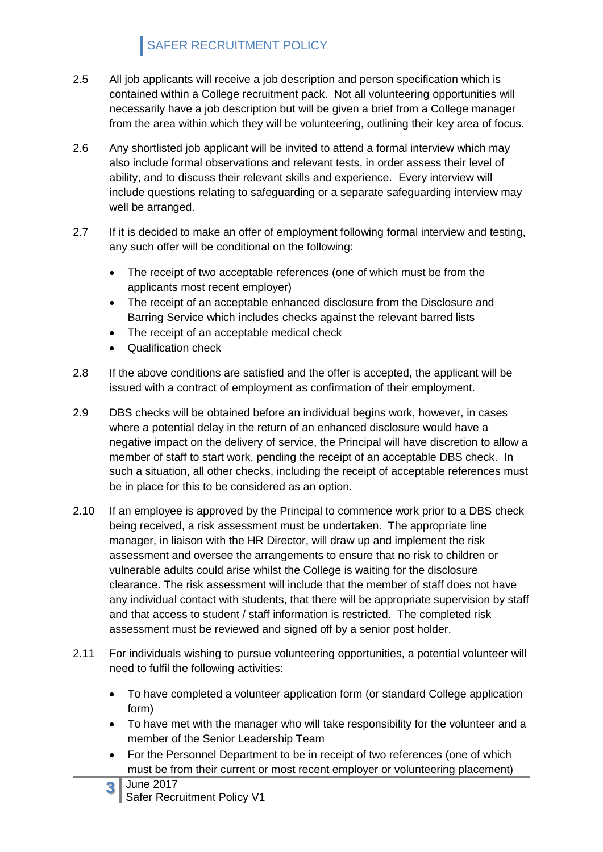- 2.5 All job applicants will receive a job description and person specification which is contained within a College recruitment pack. Not all volunteering opportunities will necessarily have a job description but will be given a brief from a College manager from the area within which they will be volunteering, outlining their key area of focus.
- 2.6 Any shortlisted job applicant will be invited to attend a formal interview which may also include formal observations and relevant tests, in order assess their level of ability, and to discuss their relevant skills and experience. Every interview will include questions relating to safeguarding or a separate safeguarding interview may well be arranged.
- 2.7 If it is decided to make an offer of employment following formal interview and testing, any such offer will be conditional on the following:
	- The receipt of two acceptable references (one of which must be from the applicants most recent employer)
	- The receipt of an acceptable enhanced disclosure from the Disclosure and Barring Service which includes checks against the relevant barred lists
	- The receipt of an acceptable medical check
	- Qualification check
- 2.8 If the above conditions are satisfied and the offer is accepted, the applicant will be issued with a contract of employment as confirmation of their employment.
- 2.9 DBS checks will be obtained before an individual begins work, however, in cases where a potential delay in the return of an enhanced disclosure would have a negative impact on the delivery of service, the Principal will have discretion to allow a member of staff to start work, pending the receipt of an acceptable DBS check. In such a situation, all other checks, including the receipt of acceptable references must be in place for this to be considered as an option.
- 2.10 If an employee is approved by the Principal to commence work prior to a DBS check being received, a risk assessment must be undertaken. The appropriate line manager, in liaison with the HR Director, will draw up and implement the risk assessment and oversee the arrangements to ensure that no risk to children or vulnerable adults could arise whilst the College is waiting for the disclosure clearance. The risk assessment will include that the member of staff does not have any individual contact with students, that there will be appropriate supervision by staff and that access to student / staff information is restricted. The completed risk assessment must be reviewed and signed off by a senior post holder.
- 2.11 For individuals wishing to pursue volunteering opportunities, a potential volunteer will need to fulfil the following activities:
	- To have completed a volunteer application form (or standard College application form)
	- To have met with the manager who will take responsibility for the volunteer and a member of the Senior Leadership Team
	- For the Personnel Department to be in receipt of two references (one of which must be from their current or most recent employer or volunteering placement)
	- **3** June 2017 Safer Recruitment Policy V1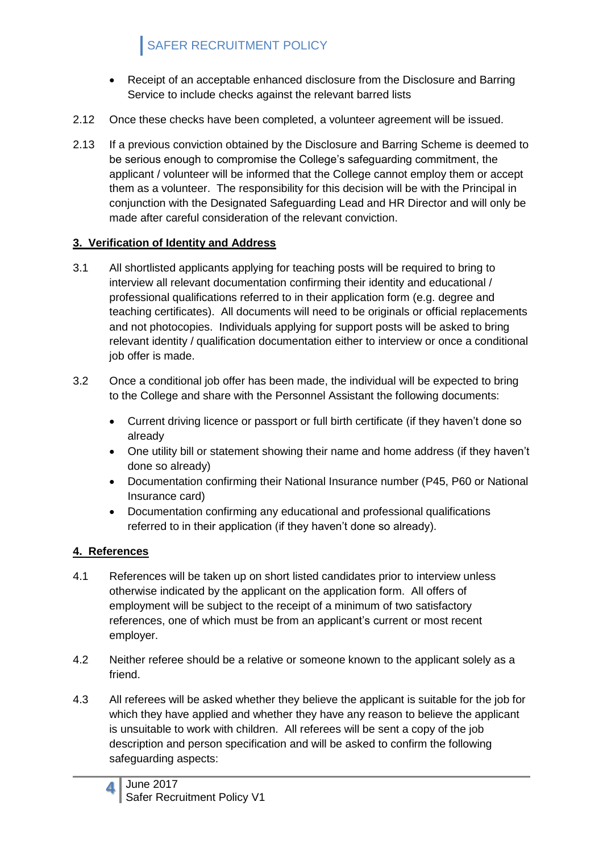- Receipt of an acceptable enhanced disclosure from the Disclosure and Barring Service to include checks against the relevant barred lists
- 2.12 Once these checks have been completed, a volunteer agreement will be issued.
- 2.13 If a previous conviction obtained by the Disclosure and Barring Scheme is deemed to be serious enough to compromise the College's safeguarding commitment, the applicant / volunteer will be informed that the College cannot employ them or accept them as a volunteer. The responsibility for this decision will be with the Principal in conjunction with the Designated Safeguarding Lead and HR Director and will only be made after careful consideration of the relevant conviction.

#### **3. Verification of Identity and Address**

- 3.1 All shortlisted applicants applying for teaching posts will be required to bring to interview all relevant documentation confirming their identity and educational / professional qualifications referred to in their application form (e.g. degree and teaching certificates). All documents will need to be originals or official replacements and not photocopies. Individuals applying for support posts will be asked to bring relevant identity / qualification documentation either to interview or once a conditional job offer is made.
- 3.2 Once a conditional job offer has been made, the individual will be expected to bring to the College and share with the Personnel Assistant the following documents:
	- Current driving licence or passport or full birth certificate (if they haven't done so already
	- One utility bill or statement showing their name and home address (if they haven't done so already)
	- Documentation confirming their National Insurance number (P45, P60 or National Insurance card)
	- Documentation confirming any educational and professional qualifications referred to in their application (if they haven't done so already).

#### **4. References**

- 4.1 References will be taken up on short listed candidates prior to interview unless otherwise indicated by the applicant on the application form. All offers of employment will be subject to the receipt of a minimum of two satisfactory references, one of which must be from an applicant's current or most recent employer.
- 4.2 Neither referee should be a relative or someone known to the applicant solely as a friend.
- 4.3 All referees will be asked whether they believe the applicant is suitable for the job for which they have applied and whether they have any reason to believe the applicant is unsuitable to work with children. All referees will be sent a copy of the job description and person specification and will be asked to confirm the following safeguarding aspects: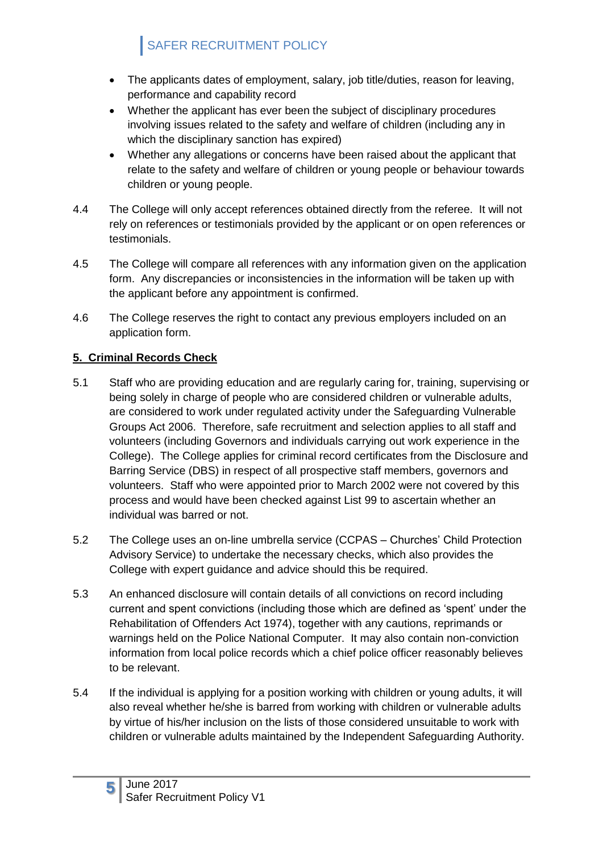- The applicants dates of employment, salary, job title/duties, reason for leaving, performance and capability record
- Whether the applicant has ever been the subject of disciplinary procedures involving issues related to the safety and welfare of children (including any in which the disciplinary sanction has expired)
- Whether any allegations or concerns have been raised about the applicant that relate to the safety and welfare of children or young people or behaviour towards children or young people.
- 4.4 The College will only accept references obtained directly from the referee. It will not rely on references or testimonials provided by the applicant or on open references or testimonials.
- 4.5 The College will compare all references with any information given on the application form. Any discrepancies or inconsistencies in the information will be taken up with the applicant before any appointment is confirmed.
- 4.6 The College reserves the right to contact any previous employers included on an application form.

#### **5. Criminal Records Check**

- 5.1 Staff who are providing education and are regularly caring for, training, supervising or being solely in charge of people who are considered children or vulnerable adults, are considered to work under regulated activity under the Safeguarding Vulnerable Groups Act 2006. Therefore, safe recruitment and selection applies to all staff and volunteers (including Governors and individuals carrying out work experience in the College). The College applies for criminal record certificates from the Disclosure and Barring Service (DBS) in respect of all prospective staff members, governors and volunteers. Staff who were appointed prior to March 2002 were not covered by this process and would have been checked against List 99 to ascertain whether an individual was barred or not.
- 5.2 The College uses an on-line umbrella service (CCPAS Churches' Child Protection Advisory Service) to undertake the necessary checks, which also provides the College with expert guidance and advice should this be required.
- 5.3 An enhanced disclosure will contain details of all convictions on record including current and spent convictions (including those which are defined as 'spent' under the Rehabilitation of Offenders Act 1974), together with any cautions, reprimands or warnings held on the Police National Computer. It may also contain non-conviction information from local police records which a chief police officer reasonably believes to be relevant.
- 5.4 If the individual is applying for a position working with children or young adults, it will also reveal whether he/she is barred from working with children or vulnerable adults by virtue of his/her inclusion on the lists of those considered unsuitable to work with children or vulnerable adults maintained by the Independent Safeguarding Authority.

**5**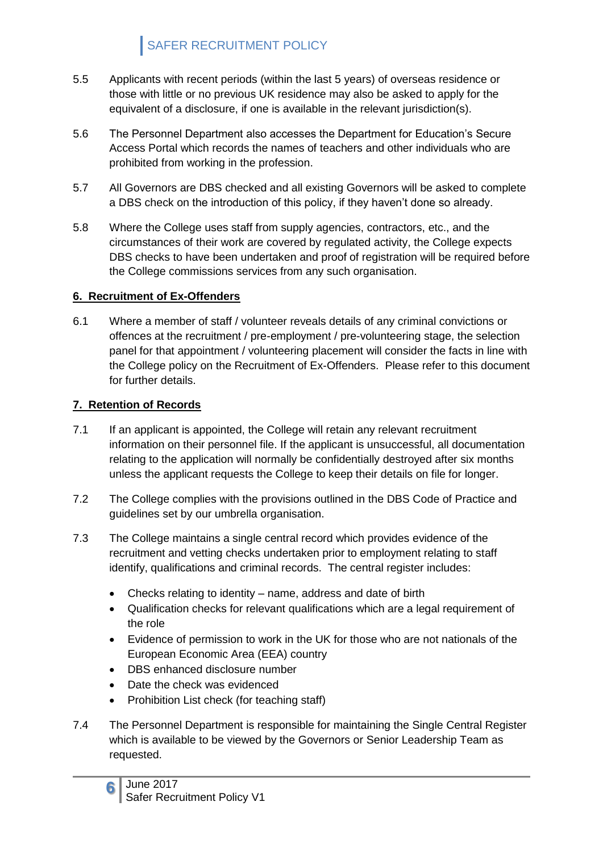- 5.5 Applicants with recent periods (within the last 5 years) of overseas residence or those with little or no previous UK residence may also be asked to apply for the equivalent of a disclosure, if one is available in the relevant jurisdiction(s).
- 5.6 The Personnel Department also accesses the Department for Education's Secure Access Portal which records the names of teachers and other individuals who are prohibited from working in the profession.
- 5.7 All Governors are DBS checked and all existing Governors will be asked to complete a DBS check on the introduction of this policy, if they haven't done so already.
- 5.8 Where the College uses staff from supply agencies, contractors, etc., and the circumstances of their work are covered by regulated activity, the College expects DBS checks to have been undertaken and proof of registration will be required before the College commissions services from any such organisation.

#### **6. Recruitment of Ex-Offenders**

6.1 Where a member of staff / volunteer reveals details of any criminal convictions or offences at the recruitment / pre-employment / pre-volunteering stage, the selection panel for that appointment / volunteering placement will consider the facts in line with the College policy on the Recruitment of Ex-Offenders. Please refer to this document for further details.

#### **7. Retention of Records**

- 7.1 If an applicant is appointed, the College will retain any relevant recruitment information on their personnel file. If the applicant is unsuccessful, all documentation relating to the application will normally be confidentially destroyed after six months unless the applicant requests the College to keep their details on file for longer.
- 7.2 The College complies with the provisions outlined in the DBS Code of Practice and guidelines set by our umbrella organisation.
- 7.3 The College maintains a single central record which provides evidence of the recruitment and vetting checks undertaken prior to employment relating to staff identify, qualifications and criminal records. The central register includes:
	- Checks relating to identity name, address and date of birth
	- Qualification checks for relevant qualifications which are a legal requirement of the role
	- Evidence of permission to work in the UK for those who are not nationals of the European Economic Area (EEA) country
	- DBS enhanced disclosure number
	- Date the check was evidenced
	- Prohibition List check (for teaching staff)
- 7.4 The Personnel Department is responsible for maintaining the Single Central Register which is available to be viewed by the Governors or Senior Leadership Team as requested.